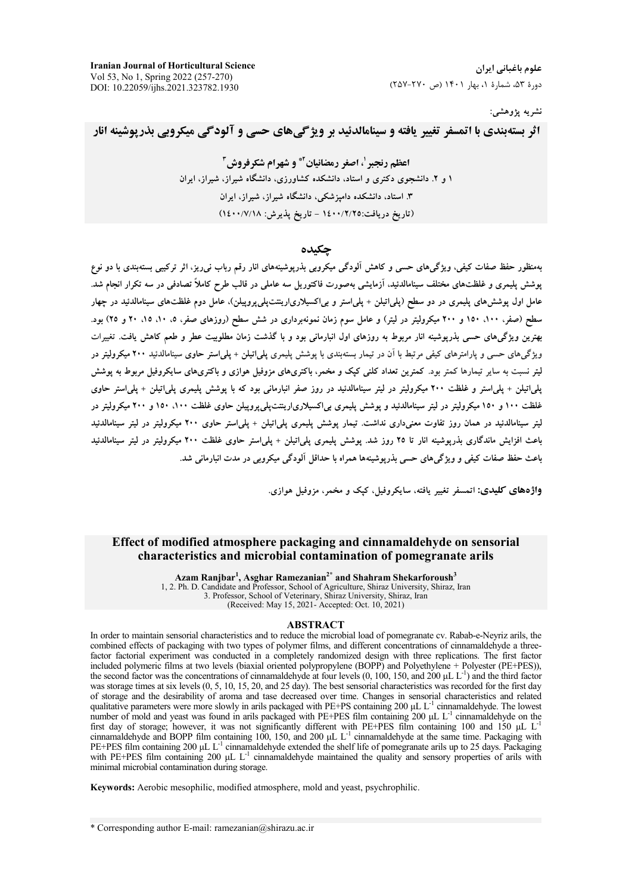**Iranian Journal of Horticultural Science** Vol 53, No 1, Spring 2022 (257-270) DOI: 10.22059/ijhs.2021.323782.1930

#### نشريه يژوهشي:

اثر بستهبندی با اتمسفر تغییر یافته و سینامالدئید بر ویژگیهای حسی و آلودگی میکروپی بذریوشینه انار

اعظم رنجير '، اصغر رمضانيان َّ\* و شهرام شكرفروش آ ۱ و ۲. دانشجوی دکتری و استاد، دانشکده کشاورزی، دانشگاه شیراز، شیراز، ایران ۳. استاد، دانشکده دامیزشکی، دانشگاه شیراز، شیراز، ایران (تاريخ دريافت:١٤٠٠/٢/٢٥ - تاريخ يذيرش: ١٤٠٠/٧/١٨)

# حكىدە

.<br>بهمنظور حفظ صفات کیفی، ویژگیهای حسی و کاهش آلودگی میکروبی بذریوشینههای انار رقم رباب نیرریز، اثر ترکیبی بستهبندی با دو نوع پوشش پلیمری و غلظتهای مختلف سینامالدئید، آزمایشی بهصورت فاکتوریل سه عاملی در قالب طرح کاملاً تصادفی در سه تکرار انجام شد. عامل اول یوشش۵ای پلیمری در دو سطح (پلی|تیلن + پلی|ستر و بی|کسیلاری|رینتپلیپروپیلن)، عامل دوم غلظتهای سینامالدئید در چهار سطح (صفر، ۱۰۰، ۱۵۰ و ۲۰۰ میکرولیتر در لیتر) و عامل سوم زمان نمونهبرداری در شش سطح (روزهای صفر، ۵، ۱۰، ۱۵، ۲۰ و ۲۵) بود. بهترین ویژگیهای حسی بذریوشینه انار مربوط به روزهای اول انبارمانی بود و با گذشت زمان مطلوبیت عطر و طعم کاهش یافت. تغییرات ویژگیهای حسی و پارامترهای کیفی مرتبط با آن در تیمار بستهبندی با پوشش پلیمری پلی|تیلن + پلی|ستر حاوی سینامالدئید ۲۰۰ میکرولیتر در لیتر نسبت به سایر تیمارها کمتر بود. کمترین تعداد کلنی کیک و مخمر، باکتریهای مزوفیل هوازی و باکتریهای سایکروفیل مربوط به پوشش پلی|تیلن + پلی|ستر و غلظت ۲۰۰ میکرولیتر در لیتر سینامالدئید در روز صفر انبارمانی بود که با پوشش پلیمری پلی|تیلن + پلی|ستر حاوی غلظت ۱۰۰ و ۱۵۰ میکرولیتر در لیتر سینامالدئید و یوشش پلیمری بی/کسیلاری/رینتتپلی پروییلن حاوی غلظت ۱۰۰، ۱۵۰ و ۲۰۰ میکرولیتر در لیتر سینامالدئید در همان روز تفاوت معنیداری نداشت. تیمار پوشش پلیمری پلیاتیلن + پلیاستر حاوی ۲۰۰ میکرولیتر در لیتر سینامالدئید باعث افزایش ماندگاری بذرپوشینه انار تا ۲۵ روز شد. پوشش پلیمری پلیاتیلن + پلیاستر حاوی غلظت ۲۰۰ میکرولیتر در لیتر سینامالدئید باعث حفظ صفات کیفی و ویژگیهای حسی بذرپوشینهها همراه با حداقل آلودگی میکروبی در مدت انبارمانی شد.

واژههای کلیدی: اتمسفر تغییر یافته، سایکروفیل، کیک و مخمر، مزوفیل هوازی.

## Effect of modified atmosphere packaging and cinnamaldehyde on sensorial characteristics and microbial contamination of pomegranate arils

Azam Ranjbar<sup>1</sup>, Asghar Ramezanian<sup>2\*</sup> and Shahram Shekarforoush<sup>3</sup> 1, 2. Ph. D. Candidate and Professor, School of Agriculture, Shiraz University, Shiraz, Iran 3. Professor, School of Veterinary, Shiraz University, Shiraz, Iran (Received: May 15, 2021- Accepted: Oct. 10, 2021)

#### **ABSTRACT**

In order to maintain sensorial characteristics and to reduce the microbial load of pomegranate cy. Rabab-e-Nevriz arils, the combined effects of packaging with two types of polymer films, and different concentrations of cinnamaldehyde a threefactor factorial experiment was conducted in a completely randomized design with three replications. The first factor included polymeric films at two levels (biaxial oriented polypropylene (BOPP) and Polyethylene + Polyester (PE+PES)), the second factor was the concentrations of cinnamaldehyde at four levels (0, 100, 150, and 200 µL  $L^{-1}$ ) and the third factor was storage times at six levels (0, 5, 10, 15, 20, and 25 day). The best sensorial characteristics was recorded for the first day of storage and the desirability of aroma and tase decreased over time. Changes in sensorial characteristics and related qualitative parameters were more slowly in arils packaged with PE+PS containing 200 uL  $L<sup>-1</sup>$  cinnamaldehyde. The lowest number of mold and yeast was found in arils packaged with PE+PES film containing 200 µL L<sup>-1</sup> cinnamaldehyde on the first day of storage; however, it was not significantly different with PE+PES film containing 100 and 150 µL  $L^{-1}$ cinnamaldehyde and BOPP film containing 100, 150, and 200  $\mu$ L L<sup>-1</sup> cinnamaldehyde at the same time. Packaging with PE+PES film containing 200  $\mu$ L L<sup>-1</sup> cinnamaldehyde extended the shelf life of pomegranate arils up t with PE+PES film containing 200  $\mu$ L L<sup>-1</sup> cinnamaldehyde maintained the quality and sensory properties of arils with minimal microbial contamination during storage.

Keywords: Aerobic mesophilic, modified atmosphere, mold and yeast, psychrophilic.

\* Corresponding author E-mail: ramezanian@shirazu.ac.ir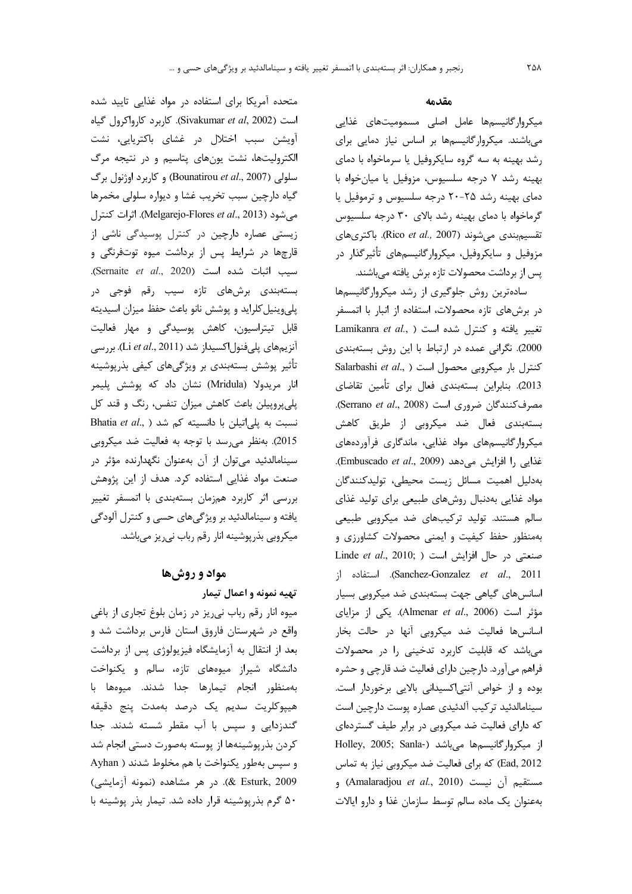متحده آمریکا برای استفاده در مواد غذایی تایید شده است (Sivakumar et al, 2002). كاربرد كارواكرول گياه آویشن سبب اختلال در غشای باکتریایی، نشت الکترولیتها، نشت یونهای پتاسیم و در نتیجه مرگ سلولی (Bounatirou et al., 2007) و کاربرد اوژنول برگ گیاه دارچین سبب تخریب غشا و دیواره سلولی مخمرها مي شود (Melgarejo-Flores et al., 2013). اثرات كنترل زیستی عصاره دارچین در کنترل پوسیدگی ناشی از قارچها در شرایط پس از برداشت میوه توتفرنگی و سيب اثبات شده است (Sernaite et al., 2020). بستهبندی برشهای تازه سیب رقم فوجی در پلی وینیل کلراید و پوشش نانو باعث حفظ میزان اسیدیته قابل تیتراسیون، کاهش پوسیدگی و مهار فعالیت آنزیمهای پلیفنول|کسیداز شد (Li et al., 2011). بررسی تأثیر پوشش بستەبندی بر ویژگی های کیفی بذرپوشینه انار مریدولا (Mridula) نشان داد که پوشش پلیمر پلیپروپیلن باعث کاهش میزان تنفس، رنگ و قند کل Bhatia et al., ) نسبت به پلی اتیلن با دانسیته کم شد 2015). بهنظر مى رسد با توجه به فعاليت ضد ميكروبي

سینامالدئید میتوان از آن بهعنوان نگهدارنده مؤثر در صنعت مواد غذایی استفاده کرد. هدف از این پژوهش بررسی اثر کاربرد همزمان بستهبندی با اتمسفر تغییر یافته و سینامالدئید بر ویژگیهای حسی و کنترل آلودگی میکروبی بذرپوشینه انار رقم رباب نی ریز میباشد.

# مواد و روشها

### تهيه نمونه و اعمال تيمار

میوه انار رقم رباب نیریز در زمان بلوغ تجاری از باغی واقع در شهرستان فاروق استان فارس برداشت شد و بعد از انتقال به آزمایشگاه فیزیولوژی پس از برداشت دانشگاه شیراز میوههای تازه، سالم و یکنواخت بهمنظور انجام تيمارها جدا شدند. ميوهها با هيپوكلريت سديم يک درصد بهمدت پنج دقيقه گندزدایی و سیس با آب مقطر شسته شدند. جدا كردن بذر پوشينهها از پوسته بهصورت دستي انجام شد و سپس بهطور یکنواخت با هم مخلوط شدند ( Ayhan & Esturk, 2009). در هر مشاهده (نمونه آزمایشی) ۵۰ گرم بذر پوشینه قرار داده شد. تیمار بذر پوشینه با

### مقدمه

میکروار گانیسمها عامل اصلی مسمومیتهای غذایی می باشند. میکروار گانیسمها بر اساس نیاز دمایی برای رشد بهینه به سه گروه سایکروفیل یا سرماخواه با دمای بهينه رشد ٧ درجه سلسيوس، مزوفيل يا ميان خواه با دمای بهینه رشد ۲۵-۲۰ درجه سلسیوس و ترموفیل یا گرماخواه با دمای بهینه رشد بالای ۳۰ درجه سلسیوس تقسيم بندي مي شوند (Rico et al., 2007). باكترى هاي مزوفیل و سایکروفیل، میکروارگانیسمهای تأثیرگذار در پس از برداشت محصولات تازه برش یافته می باشند.

سادهترین روش جلوگیری از رشد میکروارگانیسمها در برشهای تازه محصولات، استفاده از انبار با اتمسفر Lamikanra et al., ) تغيير يافته و كنترل شده است 2000). نگرانی عمده در ارتباط با این روش بستهبندی Salarbashi et al., ) كنترل بار ميكروبى محصول است 2013). بنابراین بستهبندی فعال برای تأمین تقاضای مصرف كنندگان ضرورى است (Serrano et al., 2008). بستهبندی فعال ضد میکروبی از طریق کاهش میکروارگانیسمهای مواد غذایی، ماندگاری فرآوردههای .Embuscado et al., 2009) فذايي را افزايش مى دهد. بەدليل اهميت مسائل زيست محيطى، توليدكنندگان مواد غذایی بهدنبال روشهای طبیعی برای تولید غذای سالم هستند. تولید ترکیبهای ضد میکروبی طبیعی بهمنظور حفظ کیفیت و ایمنی محصولات کشاورزی و Linde et al., 2010; ) افزایش است ( .Linde et al., 2010 Sanchez-Gonzalez et al., 2011). استفاده از اسانس های گیاهی جهت بستهبندی ضد میکروبی بسیار مؤثر است (Almenar et al., 2006). یکی از مزایای اسانس ها فعالیت ضد میکروبی آنها در حالت بخار میباشد که قابلیت کاربرد تدخینی را در محصولات فراهم می آورد. دارچین دارای فعالیت ضد قارچی و حشره بوده و از خواص آنتی اکسیدانی بالایی برخوردار است. سينامالدئيد تركيب آلدئيدى عصاره پوست دارچين است که دارای فعالیت ضد میکروبی در برابر طیف گستردهای از میکروارگانیسمها می باشد (-Holley, 2005; Sanla Ead, 2012) که برای فعالیت ضد میکروبی نیاز به تماس مستقيم آن نيست (Amalaradjou et al., 2010) و بهعنوان یک ماده سالم توسط سازمان غذا و دارو ایالات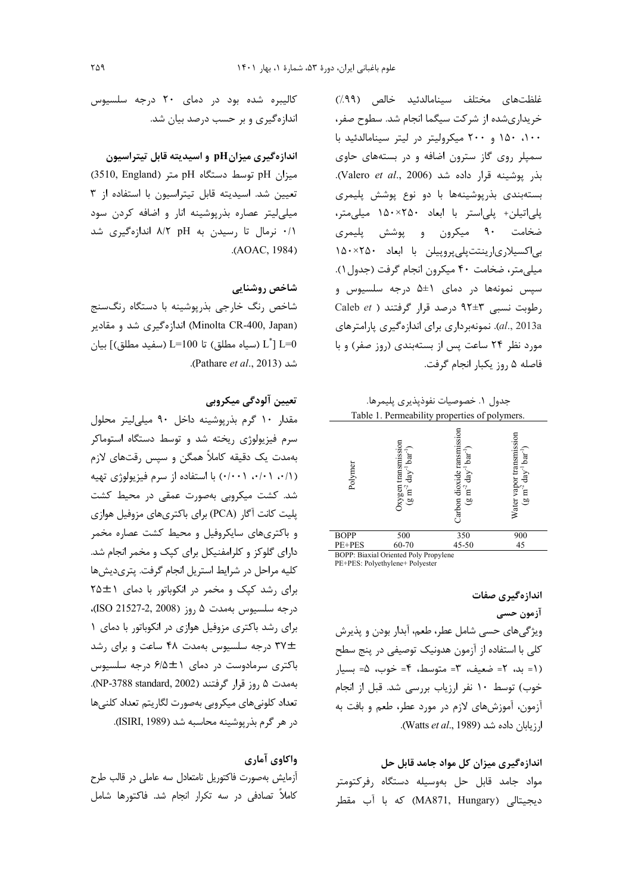غلظتهای مختلف سینامالدئید خالص (۹۹٪) خریداریشده از شرکت سیگما انجام شد. سطوح صفر، ۱۰۰، ۱۵۰ و ۲۰۰ میکرولیتر در لیتر سینامالدئید با سمپلر روی گاز سترون اضافه و در بستههای حاوی بذر يوشينه قرار داده شد (Valero et al., 2006). بستهبندی بذرپوشینهها با دو نوع پوشش پلیمری پلیاتیلن+ پلیاستر با ابعاد ۲۵۰×۱۵۰ میلی متر، ضخامت ۹۰ میکرون و پوشش پلیمری بى اكسيلارى ارينتت پلى پروپيلن با ابعاد ٢٥٠×١۵٠ میلی متر، ضخامت ۴۰ میکرون انجام گرفت (جدول ۱). سیس نمونهها در دمای ۱±۵ درجه سلسیوس و Caleb  $et$  ) رطوبت نسبی ۳±۹۲ درصد قرار گرفتند al., 2013a). نمونهبرداری برای اندازهگیری پارامترهای مورد نظر ۲۴ ساعت پس از بستهبندی (روز صفر) و با فاصله ۵ , وزيكبار انجام گرفت.

جدول ١. خصوصيات نفوذيذيري يليمرها. Table 1. Permeability properties of polymers.

| Polymer                               | Jxygen transmission<br>$bar-1$<br>$day^{-1}$<br>$\mathbf{m}^{-2}$<br>$\widehat{\mathbf{e}}$ | Carbon dioxide ransmission<br>$bar-1$<br>day<br>$\mathrm{m}^{\text{-}2}$<br>_bQ | vapor transmission<br>$bar^1)$<br>day<br>Ξ<br>ρÚ,<br><b>Water</b> |  |  |  |  |  |
|---------------------------------------|---------------------------------------------------------------------------------------------|---------------------------------------------------------------------------------|-------------------------------------------------------------------|--|--|--|--|--|
| <b>BOPP</b>                           | 500                                                                                         | 350                                                                             | 900                                                               |  |  |  |  |  |
| PE+PES                                | 60-70                                                                                       | 45-50                                                                           | 45                                                                |  |  |  |  |  |
| BOPP: Biaxial Oriented Poly Propylene |                                                                                             |                                                                                 |                                                                   |  |  |  |  |  |

PE+PES: Polyethylene+ Polyester

اندازهگیری صفات آزمون حسى ویژگیهای حسی شامل عطر، طعم، آبدار بودن و پذیرش كلي با استفاده از آزمون هدونيك توصيفي در پنج سطح (١= بد، ٢= ضعيف، ٣= متوسط، ۴= خوب، ۵= بسيار خوب) توسط ١٠ نفر ارزياب بررسي شد. قبل از انجام آزمون، آموزشهای لازم در مورد عطر، طعم و بافت به ارزيابان داده شد (Watts et al., 1989).

# اندازهگیری میزان کل مواد جامد قابل حل

مواد جامد قابل حل بهوسيله دستگاه رفركتومتر دیجیتالی (MA871, Hungary) که با آب مقطر

کالیبره شده بود در دمای ۲۰ درجه سلسیوس اندازهگیری و بر حسب درصد بیان شد.

## اندازهگیری میزانpH و اسیدیته قابل تیتراسیون

میزان pH توسط دستگاه pH متر (3510, England) تعیین شد. اسیدیته قابل تیتراسیون با استفاده از ۳ میلی لیتر عصاره بذرپوشینه انار و اضافه کردن سود ٠/١ نرمال تا رسيدن به ٨/٢ pH اندازهگيرى شد .(AOAC, 1984)

### شاخص روشنایی

شاخص رنگ خارجی بذرپوشینه با دستگاه رنگسنج (Minolta CR-400, Japan) اندازهگیری شد و مقادیر بيان [ $\rm L^*$  (سفيد مطلق) [ $\rm L^=100$  (سفيد مطلق) [ $\rm L^*$ ] ( شد (Pathare et al., 2013).

# تعيين آلودگي ميكروبي

مقدار ١٠ گرم بذرپوشينه داخل ٩٠ ميلي ليتر محلول سرم فیزیولوژی ریخته شد و توسط دستگاه استوماکر بهمدت یک دقیقه کاملاً همگن و سپس رقتهای لازم (٠/٠١، ٠/١٠) ، (٠/٠٠) با استفاده از سرم فيزيولوژي تهيه شد. کشت میکروبی بهصورت عمقی در محیط کشت یلیت کانت آگار (PCA) برای باکتریهای مزوفیل هوازی و باکتریهای سایکروفیل و محیط کشت عصاره مخمر دارای گلوکز و کلرامفنیکل برای کیک و مخمر انجام شد. كليه مراحل در شرايط استريل انجام گرفت. پترىديشها برای رشد کپک و مخمر در انکوباتور با دمای ٢٥±٢٥ درجه سلسيوس بهمدت ۵ روز (ISO 21527-2, 2008)، برای رشد باکتری مزوفیل هوازی در انکوباتور با دمای ١ ٣٧± درجه سلسیوس بهمدت ۴۸ ساعت و برای رشد باکتری سرمادوست در دمای ۶/۵±۱ درجه سلسیوس بهمدت ۵ ,وز قرار گرفتند (NP-3788 standard, 2002). تعداد کلونی های میکروبی بهصورت لگاریتم تعداد کلنی ها در هر گرم بذر پوشینه محاسبه شد (ISIRI, 1989).

### واكاوي آماري

آزمایش بهصورت فاکتوریل نامتعادل سه عاملی در قالب طرح کاملاً تصادفی در سه تکرار انجام شد. فاکتورها شامل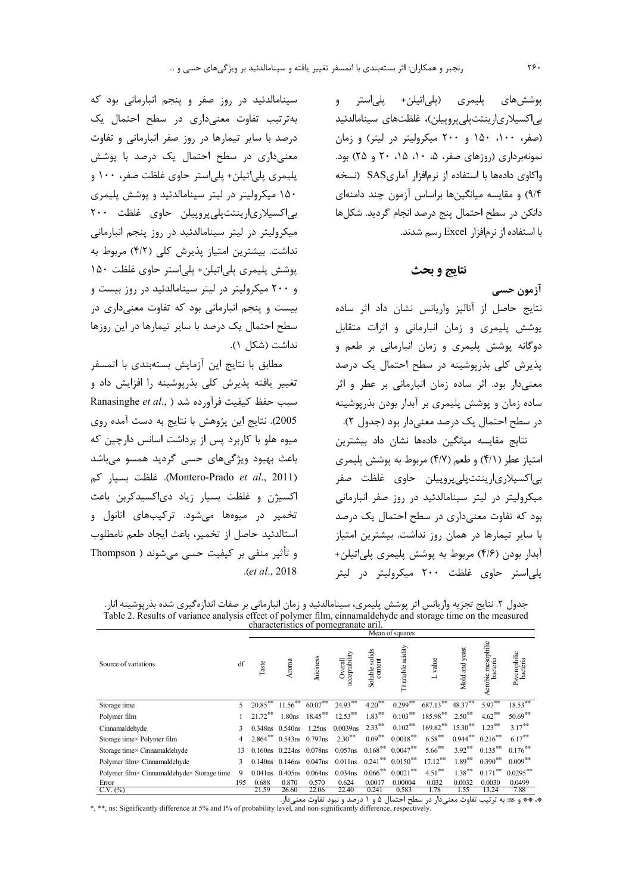پوششهای پلیمری (پل<sub>ی</sub>اتیلن+ پلیاستر و بى|كسيلارى|رينتتپلىپروپيلن)، غلظتهاى سينامالدئيد (صفر، ١٠٠، ١۵٠ و ٢٠٠ ميكروليتر در ليتر) و زمان نمونهبرداری (روزهای صفر، ۵، ۱۰، ۱۵، ۲۰ و ۲۵) بود. واكاوى دادهها با استفاده از نرمافزار آمارىSAS (نسخه ۹/۴) و مقایسه میانگینها براساس آزمون چند دامنهای دانکن در سطح احتمال پنج درصد انجام گردید. شکلها با استفاده از نرمافزار Excel رسم شدند.

### نتايج و بحث

آزمون حسى نتايج حاصل از آناليز واريانس نشان داد اثر ساده پوشش پلیمری و زمان انبارمانی و اثرات متقابل دوگانه پوشش پلیمری و زمان انبارمانی بر طعم و پذیرش کلی بذرپوشینه در سطح احتمال یک درصد معنی دار بود. اثر ساده زمان انبارمانی بر عطر و اثر ساده زمان و پوشش پلیمری بر آبدار بودن بذریوشینه در سطح احتمال یک درصد معنیدار بود (جدول ۲).

نتايج مقايسه ميانگين دادهها نشان داد بيشترين امتیاز عطر (۴/۱) و طعم (۴/۷) مربوط به پوشش پلیمری بي|کسيلاري|رينتتيلي پروييلن حاوي غلظت صفر میکرولیتر در لیتر سینامالدئید در روز صفر انبارمانی بود که تفاوت معنی داری در سطح احتمال یک درصد با سایر تیمارها در همان روز نداشت. بیشترین امتیاز آبدار بودن (۴/۶) مربوط به پوشش پلیمری پلیاتیلن+ پلیاستر حاوی غلظت ۲۰۰ میکرولیتر در لیتر

سینامالدئید در روز صفر و پنجم انبارمانی بود که بهترتیب تفاوت معنیداری در سطح احتمال یک درصد با سایر تیمارها در روز صفر انبارمانی و تفاوت معنیداری در سطح احتمال یک درصد با پوشش پليمري پلي|تيلن+ پلي|ستر حاوي غلظت صفر، ١٠٠ و ۱۵۰ میکرولیتر در لیتر سینامالدئید و یوشش پلیمری بى|كسيلارى|رينتتپلىپروپيلن حاوى غلظت ٢٠٠ میکرولیتر در لیتر سینامالدئید در روز پنجم انبارمانی نداشت. بیشترین امتیاز پذیرش کلی (۴/۲) مربوط به پوشش پلیمری پلی|تیلن+ پلی|ستر حاوی غلظت ۱۵۰ و ۲۰۰ میکرولیتر در لیتر سینامالدئید در روز بیست و بیست و پنجم انبارمانی بود که تفاوت معنی داری در سطح احتمال یک درصد با سایر تیمارها در این روزها نداشت (شكل ١).

مطابق با نتايج اين آزمايش بستهبندى با اتمسفر تغییر یافته پذیرش کلی بذرپوشینه را افزایش داد و Ranasinghe et al., ) سبب حفظ كيفيت فرآورده شد 2005). نتايج اين پژوهش با نتايج به دست آمده روي میوه هلو با کاربرد پس از برداشت اسانس دارچین که باعث بھبود ویژگی ھای حسی گردید ھمسو می باشد (Montero-Prado et al., 2011). غلظت بسيار كم اکسیژن و غلظت بسیار زیاد دیاکسیدکرین باعث تخمیر در میوهها میشود. ترکیبهای اتانول و استالدئيد حاصل از تخمير، باعث ايجاد طعم نامطلوب و تأثیر منفی بر کیفیت حسی می شوند ( Thompson .(et al., 2018

جدول ٢. نتايج تجزيه واريانس اثر پوشش پليمري، سينامالدئيد و زمان انبارماني بر صفات اندازهگيري شده بذريوشينه انار. Table 2. Results of variance analysis effect of polymer film, cinnamaldehyde and storage time on the measured<br>characteristics of pomegranate aril.

|                                            | Mean of squares |                      |                         |                         |                          |                               |                               |                       |                    |                                |                          |
|--------------------------------------------|-----------------|----------------------|-------------------------|-------------------------|--------------------------|-------------------------------|-------------------------------|-----------------------|--------------------|--------------------------------|--------------------------|
| Source of variations                       | df              | Taste                | Aroma                   | Juiciness               | Overall<br>acceptability | Soluble solids<br>content     | Titratable acidity            | value                 | Mold and yeast     | Aerobic mesophilic<br>bacteria | Psycrophilic<br>bacteria |
| Storage time                               | 5               | $20.85^{\ast\ast}$   | $11.56^{\circ\circ}$    | $60.07***$              | $24.93***$               | $4.20***$                     | $0.299^{\ast\ast}$            | 687.13**              | $48.37***$         | $5.97***$                      | $18.53^{\circ\circ}$     |
| Polymer film                               |                 | $21.72^{\text{***}}$ | 1.80 <sub>ns</sub>      | $18.45***$              | $12.53***$               | $1.83***$                     | $0.103***$                    | 185.98**              | $2.50^{\ast\ast}$  | $4.62***$                      | $50.69$ <sup>**</sup>    |
| Cinnamaldehyde                             | 3               | $0.348$ ns           | 0.540ns                 | $1.25$ ns               | 0.0039 <sub>ns</sub>     | $2.33***$                     | $0.102^{**}$                  | $169.82***$           | $15.30^{\ast\ast}$ | $1.23***$                      | $3.17***$                |
| Storage time× Polymer film                 |                 | $2.864^{\ast\ast}$   | $0.543$ ns $0.797$ ns   |                         | $2.30^{**}$              | $0.09***$                     | $0.0018$ **                   | $6.58^{\ast\ast}$     | $0.944$ **         | $0.216^{**}$                   | $6.17***$                |
| Storage time× Cinnamaldehyde               |                 |                      | 0.160ns 0.224ns 0.078ns |                         | $0.057$ ns               |                               | $0.168^{\text{***}}$ 0.0047** | $5.66^{\ast\ast}$     | $3.92***$          | $0.135^{\ast\ast}$             | $0.176^*$                |
| Polymer film× Cinnamaldehyde               |                 | 0.140 <sub>ns</sub>  | $0.146$ ns $0.047$ ns   |                         | $0.011$ ns               | $0.241$ <sup>**</sup>         | $0.0150^{***}$                | $17.12$ <sup>**</sup> | $1.89***$          | $0.390^*$                      | $0.009$ <sup>**</sup>    |
| Polymer film× Cinnamaldehyde× Storage time |                 | $0.041$ ns           | $0.405$ ns              | $0.064$ ns              | $0.034$ ns               | $0.066$ <sup>**</sup>         | $0.0021$ <sup>**</sup>        | $4.51^{\circ\circ}$   | $1.38^{\ast\ast}$  | $0.171^{\circ\circ}$           | $0.0295^{\circ\circ}$    |
| Error                                      | 195             | 0.688                | 0.870                   | 0.570                   | 0.624                    | 0.0017                        | 0.00004                       | 0.032                 | 0.0032             | 0.0030                         | 0.0499                   |
| C.V. (%)                                   |                 | 21.59                | 26.60                   | 22.06<br>$\mathbf{1}$ . | 22.40                    | 0.241<br>$\ddot{\phantom{1}}$ | 0.583<br>.                    | 1.78                  | 1.55<br>$-1.4$     | 13.24                          | 7.88                     |

۰۰ و ns. به ترتیب تفاوت معنی(دار در سطح احتمال ۵ و ۱ درصد و نبود تفاوت معنی(دار.<br>۰۰۰ \*\* و ns: Significantly difference at 5% and 1% of probability level, and non-significantly difference, respectively.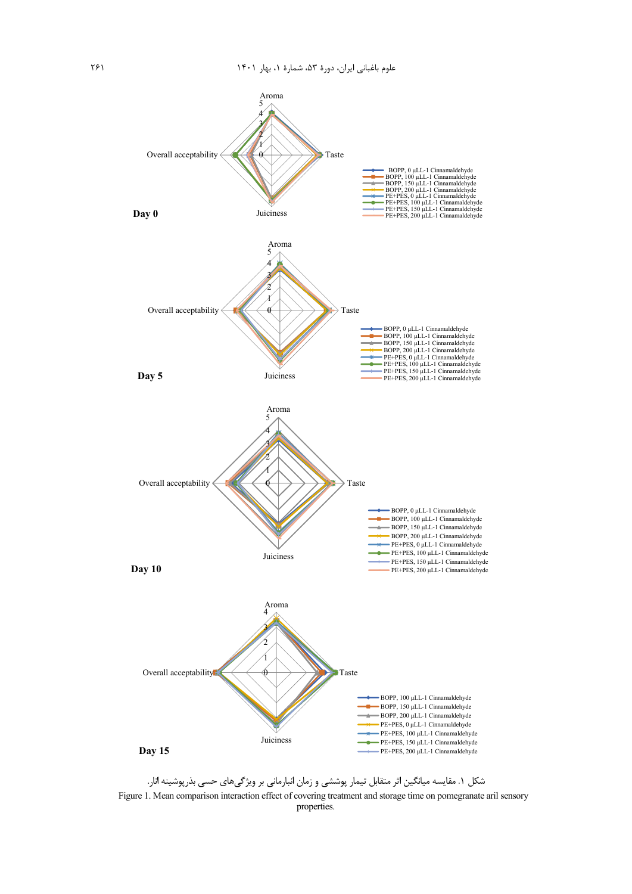

شکل ۱. مقایسه میانگین اثر متقابل تیمار پوششی و زمان انبارمانی بر ویژگیهای حسی بذرپوشینه انار. Figure 1. Mean comparison interaction effect of covering treatment and storage time on pomegranate aril sensory properties.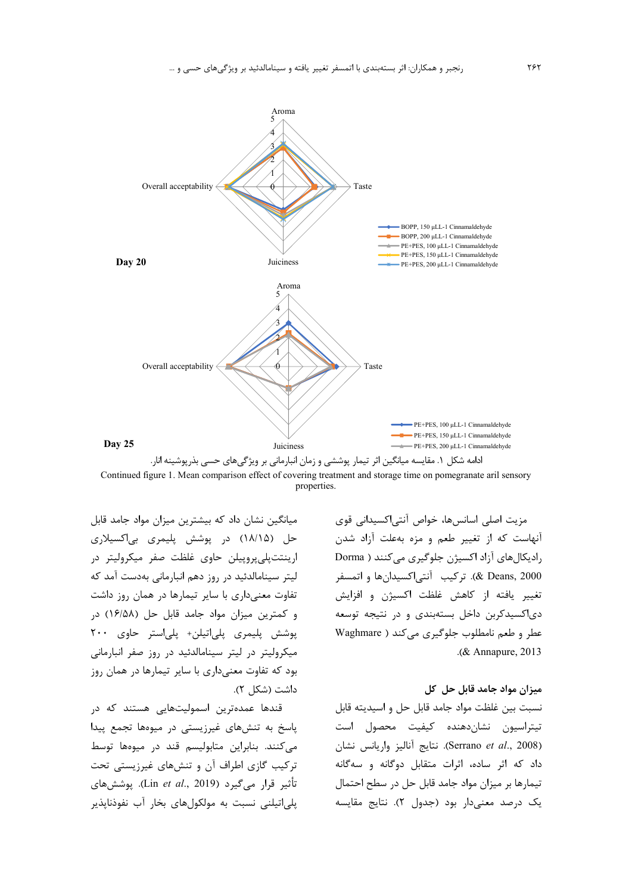



مزيت اصلى اسانسها، خواص آنتى|كسيدانى قوى آنهاست که از تغییر طعم و مزه بهعلت آزاد شدن رادیکالهای آزاد اکسیژن جلوگیری می کنند ( Dorma Deans, 2000). تركيب -آنتي|كسيدانها و اتمسفر تغییر یافته از کاهش غلظت اکسیژن و افزایش دی اکسیدکربن داخل بستهبندی و در نتیجه توسعه عطر و طعم نامطلوب جلوگیری می کند ( Waghmare .(& Annapure,  $2013$ 

### میزان مواد جامد قابل جل اکل

نسبت بين غلظت مواد جامد قابل حل و اسيديته قابل تيتراسيون نشاندهنده كيفيت محصول است (Serrano et al., 2008). نتايج آناليز واريانس نشان داد که اثر ساده، اثرات متقابل دوگانه و سهگانه تیمارها بر میزان مواد جامد قابل حل در سطح احتمال یک درصد معنیدار بود (جدول ۲). نتایج مقایسه

میانگین نشان داد که بیشترین میزان مواد جامد قابل حل (۱۸/۱۵) در پوشش پلیمری بیاکسیلاری ارینتت پلی پروییلن حاوی غلظت صفر میکرولیتر در لیتر سینامالدئید در روز دهم انبارمانی بهدست آمد که تفاوت معنیداری با سایر تیمارها در همان روز داشت و کمترین میزان مواد جامد قابل حل (١۶/۵۸) در یوشش پلیمری پلیاتیلن+ پلیاستر حاوی ۲۰۰ میکرولیتر در لیتر سینامالدئید در روز صفر انبارمانی بود که تفاوت معنیداری با سایر تیمارها در همان روز داشت (شکل ۲).

قندها عمدهترین اسمولیتهایی هستند که در پاسخ به تنشهای غیرزیستی در میوهها تجمع پیدا می کنند. بنابراین متابولیسم قند در میوهها توسط ترکیب گازی اطراف آن و تنشهای غیرزیستی تحت تأثير قرار مي گيرد (Lin et al., 2019). يوشش هاي یلی|تیلنی نسبت به مولکولهای بخار آب نفوذنایذیر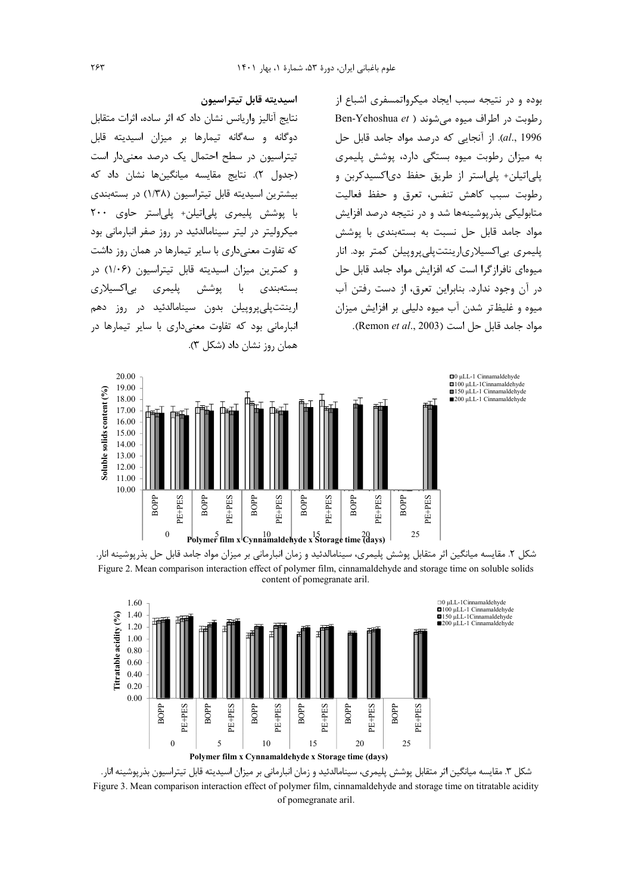بوده و در نتیجه سبب ایجاد میکرواتمسفری اشباع از Ben-Yehoshua et ) رطوبت در اطراف میوه میشوند al., 1996). از آنجایی که درصد مواد جامد قابل حل به میزان رطوبت میوه بستگی دارد، پوشش پلیمری بلي|تيلن+ يلي|ستر از طريق حفظ دي|كسيدكربن و رطوبت سبب كاهش تنفس، تعرق و حفظ فعاليت متابولیکی بذرپوشینهها شد و در نتیجه درصد افزایش مواد جامد قابل حل نسبت به بستهبندی با یوشش بلیمری بی|کسیلاری|رینتتیلی پروییلن کمتر بود. انار میوهای نافرازگرا است که افزایش مواد جامد قابل حل در آن وجود ندارد. بنابراین تعرق، از دست رفتن آب میوه و غلیظتر شدن آب میوه دلیلی بر افزایش میزان مواد جامد قابل حل است (Remon et al., 2003).

### اسيديته قابل تيتراسيون

نتايج آناليز واريانس نشان داد كه اثر ساده، اثرات متقابل دوگانه و سهگانه تیمارها بر میزان اسیدیته قابل تیتراسیون در سطح احتمال یک درصد معنیدار است (جدول ٢). نتايج مقايسه ميانگينها نشان داد كه بیشترین اسیدیته قابل تیتراسیون (۱/۳۸) در بستهبندی با پوشش پلیمری پلی|تیلن+ پلی|ستر حاوی ۲۰۰ میکرولیتر در لیتر سینامالدئید در روز صفر انبارمانی بود که تفاوت معنی داری با سایر تیمارها در همان روز داشت و کمترین میزان اسیدیته قابل تیتراسیون (۱/۰۶) در يليمري ہے اکسپلاری يوشش يا بستەبندى ارینتتپلی پروپیلن بدون سینامالدئید در روز دهم انبا<sub>د</sub>مانی بود که تفاوت معنیداری با سایر تیمارها در همان روز نشان داد (شکل ۳).



شکل ۲. مقایسه میانگین اثر متقابل پوشش پلیمری، سینامالدئید و زمان انبارمانی بر میزان مواد جامد قابل حل بذرپوشینه انار. Figure 2. Mean comparison interaction effect of polymer film, cinnamaldehyde and storage time on soluble solids content of pomegranate aril.



شکل ۳. مقايسه ميانگين اثر متقابل پوشش پليمري، سينامالدئيد و زمان انبارماني بر ميزان اسيديته قابل تيتراسيون بذرپوشينه انار. Figure 3. Mean comparison interaction effect of polymer film, cinnamaldehyde and storage time on titratable acidity of pomegranate aril.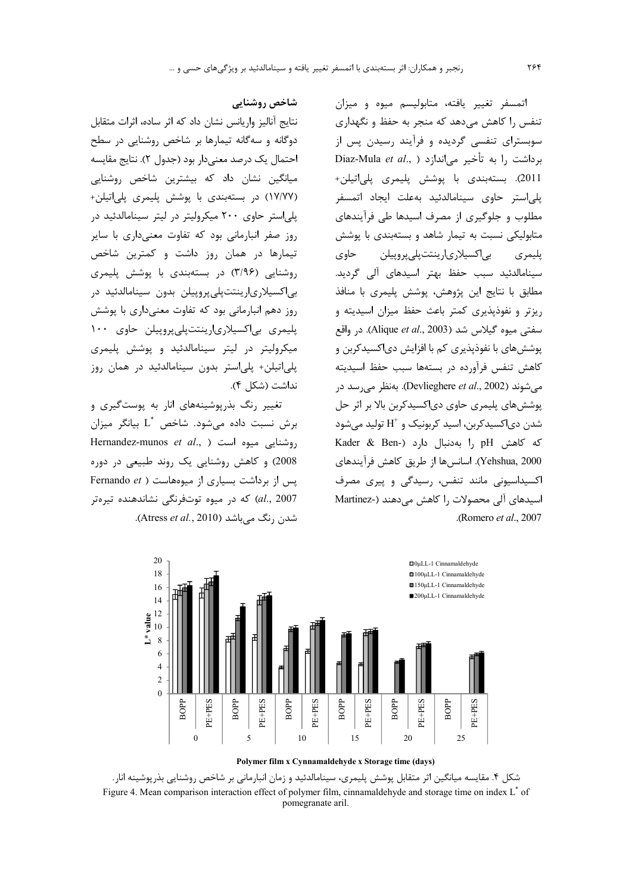اتمسفر تغییر یافته، متابولیسم میوه و میزان تنفس را کاهش می دهد که منجر به حفظ و نگهداری سوبسترای تنفسی گردیده و فرآیند رسیدن پس از Diaz-Mula et al., ) برداشت ,ا به تأخير مي اندازد 2011). بستەبندى با پوشش پليمرى پلى|تيلن+ یلی استر حاوی سینامالدئید بهعلت ایجاد اتمسفر مطلوب و جلوگیری از مصرف اسیدها طی فرآیندهای متابولیکی نسبت به تیمار شاهد و بستهبندی با پوشش بى|كسيلارى|رينتتپلىپروپيلن حاوى يليمري سینامالدئید سبب حفظ بهتر اسیدهای آلی گردید. مطابق با نتايج اين پژوهش، پوشش پليمري با منافذ ریزتر و نفوذیذیری کمتر باعث حفظ میزان اسیدیته و سفتی میوه گیلاس شد (Alique et al., 2003). در واقع پوشش های با نفوذپذیری کم با افزایش دی|کسیدکربن و كاهش تنفس فرآورده در بستهها سبب حفظ اسيديته می شوند (Devlieghere et al., 2002). بهنظر می رسد در پوشش های پلیمری حاوی دی|کسیدکربن بالا بر اثر حل شدن دی|کسیدکربن، اسید کربونیک و  $\mathrm{H}^+$  تولید مے شود كه كاهش pH ,ا بهدنبال دارد (Kader & Ben-Yehshua, 2000). اسانس ها از طريق كاهش فرآيندهاي اکسیداسیونی مانند تنفس، رسیدگی و پیری مصرف اسیدهای آلی محصولات ,ا کاهش می دهند (-Martinez .(Romero et al., 2007).



#### Polymer film x Cynnamaldehyde x Storage time (days)

شکل ۴. مقایسه میانگین اثر متقابل پوشش پلیمری، سینامالدئید و زمان انبارمانی بر شاخص روشنایی بذرپوشینه انار. Figure 4. Mean comparison interaction effect of polymer film, cinnamaldehyde and storage time on index L<sup>\*</sup> of pomegranate aril.

# شاخص روشنايي

نتايج آناليز واريانس نشان داد كه اثر ساده، اثرات متقابل دوگانه و سهگانه تیمارها بر شاخص روشنایی در سطح احتمال یک درصد معنی دار بود (جدول ۲). نتایج مقایسه میانگین نشان داد که بیشترین شاخص روشنایی (۱۷/۷۷) در بستهبندی با پوشش پلیمری پلی|تیلن+ یلی استر حاوی ۲۰۰ میکرولیتر در لیتر سینامالدئید در روز صفر انبارمانی بود که تفاوت معنیداری با سایر تیمارها در همان روز داشت و کمترین شاخص روشنایی (۳/۹۶) در بستهبندی با پوشش پلیمری بى|كسيلارى|رينتتپلىپروپيلن بدون سينامالدئيد در روز دهم انبارمانی بود که تفاوت معنیداری با پوشش پلیمری بی|کسیلاری|رینتتپلی پروپیلن حاوی ۱۰۰ میکرولیتر در لیتر سینامالدئید و یوشش پلیمری يلي|تيلن+ يلي|ستر بدون سينامالدئيد در همان روز نداشت (شكل ۴).

تغییر رنگ بذرپوشینههای انار به پوستگیری و برش نسبت داده مے شود. شاخص  $\text{L}^*$  بیانگر میزان Hernandez-munos et al., ) اروشنایی میوه است 2008) و کاهش روشنایی یک روند طبیعی در دوره Fernando et ) برداشت بسیاری از میوههاست ( Fernando et al., 2007) كه در ميوه توتفرنگى نشاندهنده تيرهتر شدن ,نگ مے باشد (Atress *et al.,* 2010).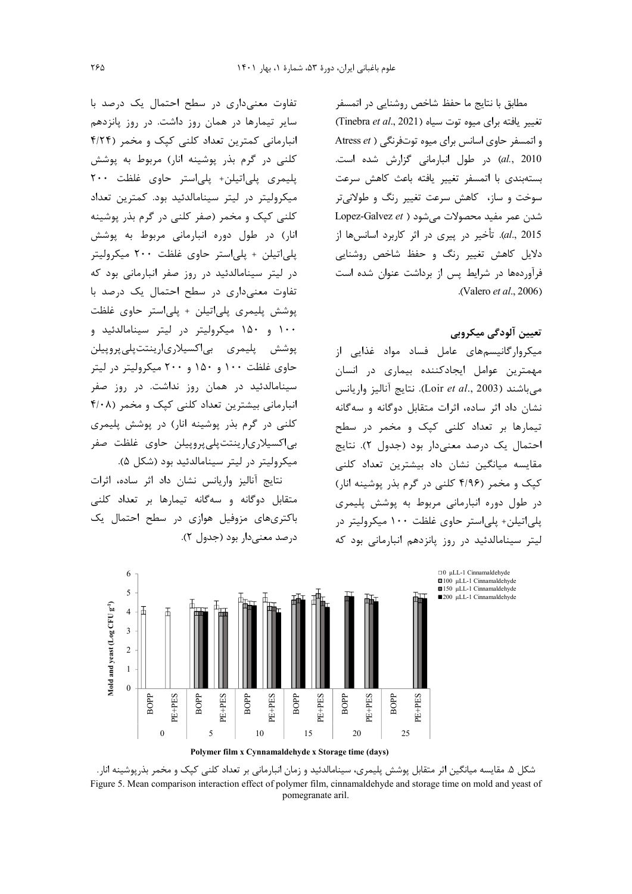مطابق با نتایج ما حفظ شاخص روشنایی در اتمسفر تغییر یافته برای میوه توت سیاه (Tinebra et al., 2021) و اتمسفر حاوی اسانس برای میوه توتفرنگی ( Atress et al., 2010) در طول انبارمانی گزارش شده است. بستهبندى با اتمسفر تغيير يافته باعث كاهش سرعت سوخت و ساز، کاهش سرعت تغییر رنگ و طولانیتر  $Lopez-Galvez et$ ) شدن عمر مفید محصولات می شود al., 2015). تأخير در پيري در اثر كاربرد اسانسها از دلایل کاهش تغییر رنگ و حفظ شاخص روشنایی فرآوردهها در شرایط پس از برداشت عنوان شده است .(Valero et al., 2006)

# تعيين آلودگي ميكروبي

میکروارگانیسمهای عامل فساد مواد غذایی از مهمترین عوامل ایجادکننده بیماری در انسان  $\frac{1}{2}$ می باشند (Loir et al., 2003). نتایج آنالیز واریانس نشان داد اثر ساده، اثرات متقابل دوگانه و سهگانه تیمارها بر تعداد کلنی کپک و مخمر در سطح احتمال یک درصد معنیدار بود (جدول ۲). نتایج مقایسه میانگین نشان داد بیشترین تعداد کلن<u>ی</u> کیک و مخمر (۴/۹۶ کلنی در گرم بذر پوشینه انار) در طول دوره انبارمانی مربوط به پوشش پلیمری پلې اتيلن+ پلې استر حاوي غلظت ١٠٠ ميکروليتر در لیتر سینامالدئید در روز یانزدهم انبارمانی بود که

تفاوت معنی داری در سطح احتمال یک درصد با سایر تیمارها در همان روز داشت. در روز یانزدهم انبارمانی کمترین تعداد کلنی کیک و مخمر (۴/۲۴ کلنی در گرم بذر پوشینه انار) مربوط به پوشش پلیمری پلیاتیلن+ پلیاستر حاوی غلظت ۲۰۰ میکرولیتر در لیتر سینامالدئید بود. کمترین تعداد کلنی کیک و مخمر (صفر کلنی در گرم بذر پوشینه انار) در طول دوره انبارمانی مربوط به پوشش پلیاتیلن + پلیاستر حاوی غلظت ۲۰۰ میکرولیتر در لیتر سینامالدئید در روز صفر انبارمانی بود که تفاوت معنى دارى در سطح احتمال يک درصد با پوشش پلیمری پلیاتیلن + پلیاستر حاوی غلظت ۱۰۰ و ۱۵۰ میکرولیتر در لیتر سینامالدئید و پوشش پليمري بى|كسيلارى|رينتتپلىپروپيلن حاوی غلظت ۱۰۰ و ۱۵۰ و ۲۰۰ میکرولیتر در لیتر سینامالدئید در همان روز نداشت. در روز صفر انبارمانی بیشترین تعداد کلنی کپک و مخمر (۴/۰۸ کلنی در گرم بذر پوشینه انار) در پوشش پلیمری بی|کسیلاری|رینتتپلیپروپیلن حاوی غلظت صفر میکرولیتر در لیتر سینامالدئید بود (شکل ۵).

نتايج آناليز واريانس نشان داد اثر ساده، اثرات متقابل دوگانه و سهگانه تیمارها بر تعداد کلنی باکتریهای مزوفیل هوازی در سطح احتمال یک درصد معنى دار بود (جدول ٢).



Polymer film x Cynnamaldehyde x Storage time (days)

شکل ۵. مقایسه میانگین اثر متقابل پوشش پلیمری، سینامالدئید و زمان انبارمانی بر تعداد کلنی کپک و مخمر بذرپوشینه انار . Figure 5. Mean comparison interaction effect of polymer film, cinnamaldehyde and storage time on mold and yeast of pomegranate aril.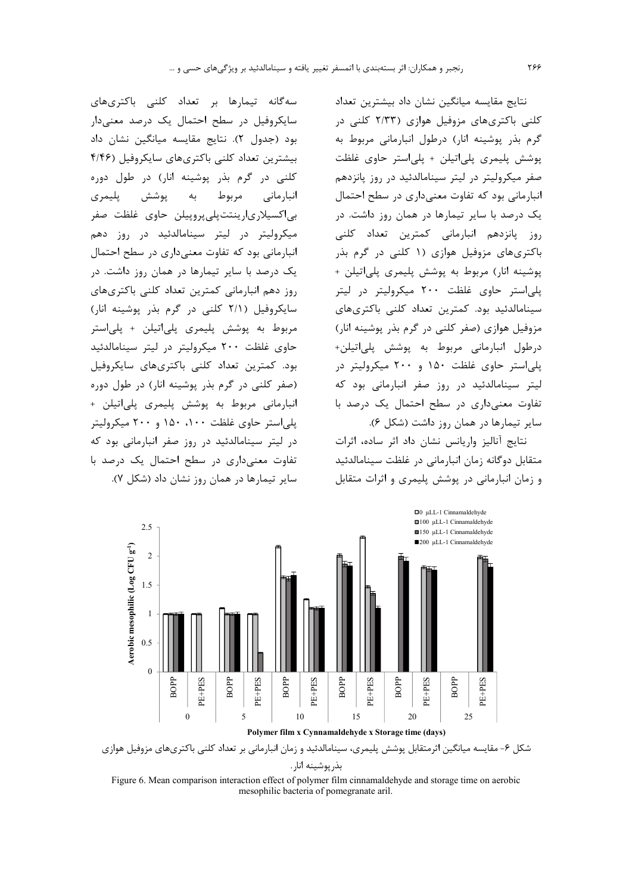نتايج مقايسه ميانگين نشان داد بيشترين تعداد کلنی باکتریهای مزوفیل هوازی (۲/۳۳ کلنی در گرم بذر یوشینه انار) درطول انبارمانی مربوط به پوشش پلیمری پلی!تیلن + پلی!ستر حاوی غلظت صفر میکرولیتر در لیتر سینامالدئید در روز پانزدهم انبارمانی بود که تفاوت معنیداری در سطح احتمال یک درصد با سایر تیمارها در همان روز داشت. در روز پانزدهم انبارمانی کمترین تعداد کلنی باکتریهای مزوفیل هوازی (۱ کلنی در گرم بذر پوشینه انار) مربوط به پوشش پلیمری پلیاتیلن + پلی استر حاوی غلظت ۲۰۰ میکرولیتر در لیتر سینامالدئید بود. کمترین تعداد کلنی باکتریهای مزوفیل هوازی (صفر کلنی در گرم بذر پوشینه انار) درطول انبارمانی مربوط به پوشش پلیاتیلن+ یلی استر حاوی غلظت ۱۵۰ و ۲۰۰ میکرولیتر در لیتر سینامالدئید در روز صفر انبارمانی بود که تفاوت معنی داری در سطح احتمال یک درصد با سایر تیمارها در همان روز داشت (شکل ۶).

نتايج آناليز واريانس نشان داد اثر ساده، اثرات متقابل دوگانه زمان انبارمانی در غلظت سینامالدئید و زمان انبارمانی در پوشش پلیمری و اثرات متقابل



سایر تیمارها در همان روز نشان داد (شکل ۷).





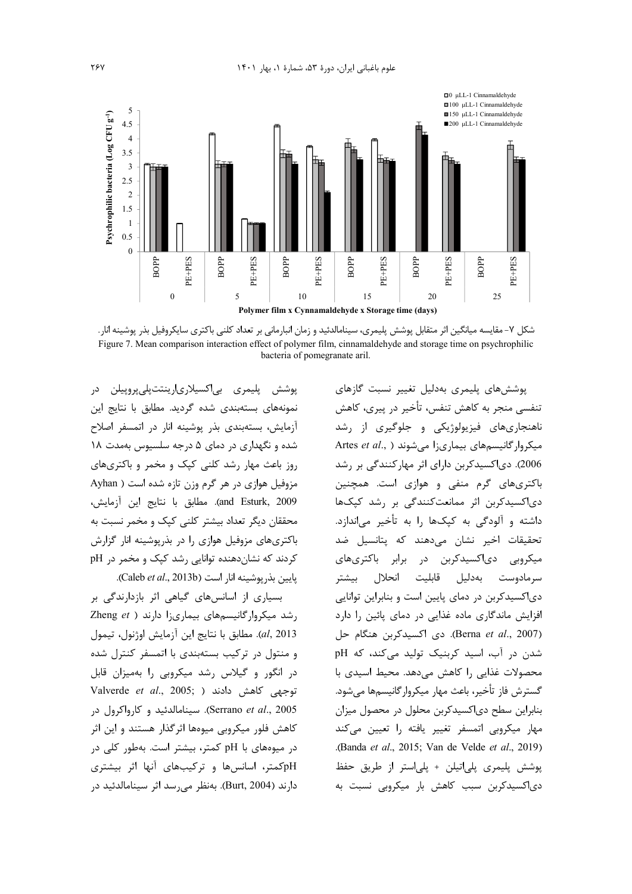

شکل ۷– مقایسه میانگین اثر متقابل پوشش پلیمری، سینامالدئید و زمان انبارمانی بر تعداد کلنی باکتری سایکروفیل بذر پوشینه انار. Figure 7. Mean comparison interaction effect of polymer film, cinnamaldehyde and storage time on psychrophilic bacteria of pomegranate aril.

يوشش پليمري بي|کسيلاري|رينتتيلي پروييلن در نمونههای بستهبندی شده گردید. مطابق با نتایج این آزمایش، بستهبندی بذر پوشینه انار در اتمسفر اصلاح شده و نگهداری در دمای ۵ درجه سلسیوس بهمدت ۱۸ روز باعث مهار رشد کلنی کیک و مخمر و باکتریهای مزوفیل هوازی در هر گرم وزن تازه شده است ( Ayhan and Esturk, 2009). مطابق با نتايج اين آزمايش، محققان دیگر تعداد بیشتر کلنے کیک و مخمر نسبت به باکتریهای مزوفیل هوازی را در بذریوشینه انار گزارش کردند که نشاندهنده توانایی رشد کیک و مخمر در pH يايين بذر يوشينه انار است (Caleb et al., 2013b).

بسیاری از اسانسهای گیاهی اثر بازدارندگی بر رشد میکروار گانیسمهای بیماریزا دارند ( Zheng et al, 2013). مطابق با نتايج اين آزمايش اوژنول، تيمول و منتول در ترکیب بستهبندی با اتمسفر کنترل شده در انگور و گیلاس رشد میکروبی را بهمیزان قابل Valverde et al., 2005; ) مش دادند ( Valverde et al., 2005; Serrano et al., 2005). سينامالدئيد و كارواكرول در کاهش فلور میکروبی میوهها اثرگذار هستند و این اثر در میوههای با pH کمتر، بیشتر است. بهطور کلی در pHکمتر، اسانسها و ترکیبهای آنها اثر بیشتری دارند (Burt, 2004). بەنظر مے,رسد اثر سینامالدئید در

یوشش های پلیمری بهدلیل تغییر نسبت گازهای تنفسي منجر به كاهش تنفس، تأخير در پيري، كاهش ناهنجاریهای فیزیولوژیکی و جلوگیری از رشد Artes et al., ) میکروار گانیسمهای بیماریزا میشوند .<br>2006). دیاکسیدکربن دارای اثر مهارکنندگی بر رشد باکتریهای گرم منفی و هوازی است. همچنین دی|کسیدکربن اثر ممانعتکنندگی بر رشد کیکها داشته و آلودگی به کپکها را به تأخیر میاندازد. تحقیقات اخیر نشان می۵هند که پتانسیل ضد میکروبی دیاکسیدکربن در برابر باکتریهای سرمادوست بهدليل قابليت انحلال بيشتر دی|کسیدکربن در دمای پایین است و بنابراین توانایی افزایش ماندگاری ماده غذایی در دمای پائین را دارد (Berna et al., 2007). دى اكسىدكرېن هنگام جل شدن در آب، اسید کربنیک تولید میکند، که pH محصولات غذایی را کاهش می دهد. محیط اسیدی با گسترش فاز تأخیر، باعث مهار میکروارگانیسمها می شود. بنابراین سطح دی|کسیدکربن محلول در محصول میزان مھار میکروبی اتمسفر تغییر یافته را تعیین م*ی ک*ند .(Banda et al., 2015; Van de Velde et al., 2019). پوشش پلیمری پلیاتیلن + پلیاستر از طریق حفظ دی اکسیدکربن سبب کاهش بار میکروبی نسبت به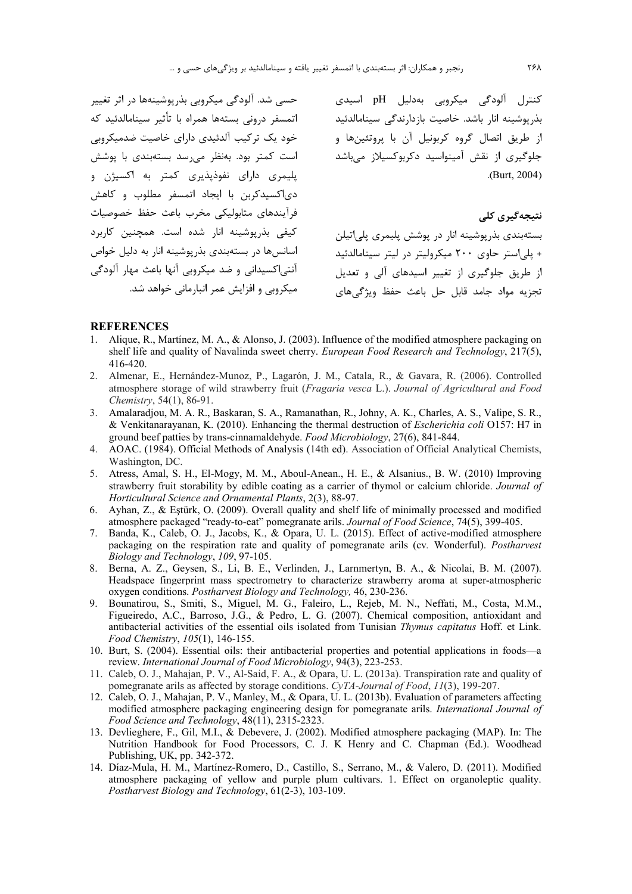حسی شد. آلودگی میکروبی بذریوشینهها در اثر تغییر اتمسفر درونی بستهها همراه با تأثیر سینامالدئید که خود یک ترکیب آلدئیدی دارای خاصیت ضدمیکروبی است کمتر بود. بەنظر می,رسد بستەبندی با پوشش پلیمری دارای نفوذیذیری کمتر به اکسیژن و دی|کسیدکربن با ایجاد اتمسفر مطلوب و کاهش فرآيندهاى متابوليكى مخرب باعث حفظ خصوصيات کیفی بذریوشینه آنار شده است. همچنین کاربرد اسانس ها در بستهبندی بذر پوشینه انار به دلیل خواص آنتی|کسیدانی و ضد میکروبی آنها باعث مهار آلودگی میکروبی و افزایش عمر انبارمانی خواهد شد.

کنترل آلودگی میکروبی بهدلیل pH اسیدی بذرپوشینه انار باشد. خاصیت بازدارندگی سینامالدئید از طريق اتصال گروه كربونيل آن با پروتئينها و جلوگیری از نقش آمینواسید دکربوکسیلاز میباشد  $(Burt, 2004)$ 

# نتىچەگىرى كلى

بستهبندی بذرپوشینه انار در پوشش پلیمری پلیاتیلن + بلے استر جاوی ٢٠٠ میکرولیتر در لیتر سینامالدئید از طریق جلوگیری از تغییر اسیدهای آلی و تعدیل تجزيه مواد جامد قابل حل باعث حفظ ويژگىهاى

#### **REFERENCES**

- Alique, R., Martínez, M. A., & Alonso, J. (2003). Influence of the modified atmosphere packaging on shelf life and quality of Navalinda sweet cherry. European Food Research and Technology, 217(5), 416-420.
- 2. Almenar, E., Hernández-Munoz, P., Lagarón, J. M., Catala, R., & Gavara, R. (2006). Controlled atmosphere storage of wild strawberry fruit (Fragaria vesca L.). Journal of Agricultural and Food Chemistry, 54(1), 86-91.
- 3. Amalaradjou, M. A. R., Baskaran, S. A., Ramanathan, R., Johny, A. K., Charles, A. S., Valipe, S. R., & Venkitanarayanan, K. (2010). Enhancing the thermal destruction of *Escherichia coli* O157: H7 in ground beef patties by trans-cinnamaldehyde. Food Microbiology, 27(6), 841-844.
- 4. AOAC. (1984). Official Methods of Analysis (14th ed). Association of Official Analytical Chemists, Washington, DC.
- 5. Atress, Amal, S. H., El-Mogy, M. M., Aboul-Anean., H. E., & Alsanius., B. W. (2010) Improving strawberry fruit storability by edible coating as a carrier of thymol or calcium chloride. Journal of Horticultural Science and Ornamental Plants, 2(3), 88-97.
- 6. Ayhan, Z., & Estürk, O. (2009). Overall quality and shelf life of minimally processed and modified atmosphere packaged "ready-to-eat" pomegranate arils. Journal of Food Science, 74(5), 399-405.
- 7. Banda, K., Caleb, O. J., Jacobs, K., & Opara, U. L. (2015). Effect of active-modified atmosphere packaging on the respiration rate and quality of pomegranate arils (cv. Wonderful). Postharvest Biology and Technology, 109, 97-105.
- 8. Berna, A. Z., Geysen, S., Li, B. E., Verlinden, J., Larnmertyn, B. A., & Nicolai, B. M. (2007). Headspace fingerprint mass spectrometry to characterize strawberry aroma at super-atmospheric oxygen conditions. Postharvest Biology and Technology, 46, 230-236.
- 9. Bounatirou, S., Smiti, S., Miguel, M. G., Faleiro, L., Rejeb, M. N., Neffati, M., Costa, M.M., Figueiredo, A.C., Barroso, J.G., & Pedro, L. G. (2007). Chemical composition, antioxidant and antibacterial activities of the essential oils isolated from Tunisian Thymus capitatus Hoff. et Link. Food Chemistry, 105(1), 146-155.
- 10. Burt, S. (2004). Essential oils: their antibacterial properties and potential applications in foods—a review. International Journal of Food Microbiology, 94(3), 223-253.
- 11. Caleb, O. J., Mahajan, P. V., Al-Said, F. A., & Opara, U. L. (2013a). Transpiration rate and quality of pomegranate arils as affected by storage conditions. CyTA-Journal of Food, 11(3), 199-207.
- 12. Caleb, O. J., Mahajan, P. V., Manley, M., & Opara, U. L. (2013b). Evaluation of parameters affecting modified atmosphere packaging engineering design for pomegranate arils. International Journal of Food Science and Technology, 48(11), 2315-2323.
- 13. Devlieghere, F., Gil, M.I., & Debevere, J. (2002). Modified atmosphere packaging (MAP). In: The Nutrition Handbook for Food Processors, C. J. K Henry and C. Chapman (Ed.). Woodhead Publishing, UK, pp. 342-372.
- 14. Díaz-Mula, H. M., Martínez-Romero, D., Castillo, S., Serrano, M., & Valero, D. (2011). Modified atmosphere packaging of yellow and purple plum cultivars. 1. Effect on organoleptic quality. Postharvest Biology and Technology, 61(2-3), 103-109.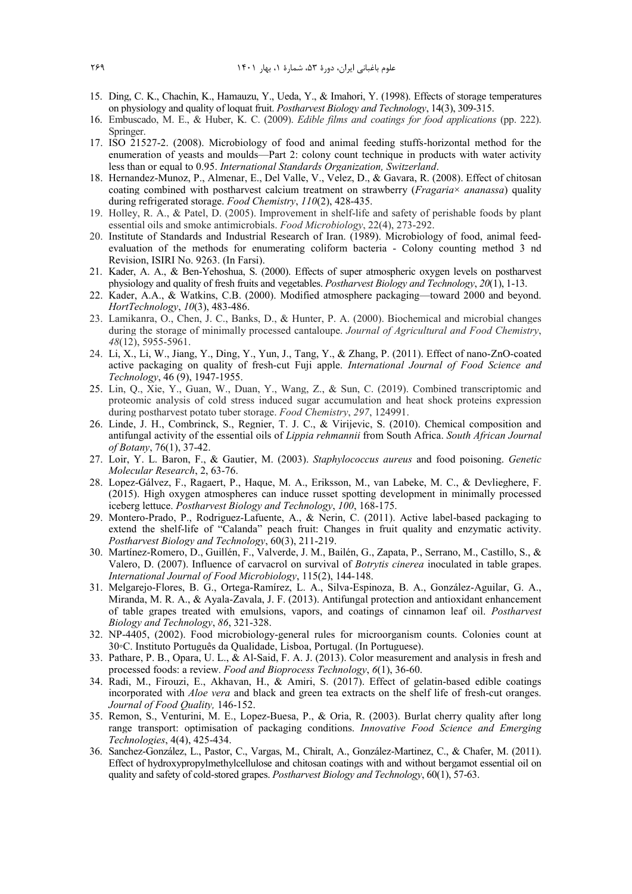- 15. Ding, C. K., Chachin, K., Hamauzu, Y., Ueda, Y., & Imahori, Y. (1998). Effects of storage temperatures on physiology and quality of loquat fruit. *Postharvest Biology and Technology*, 14(3), 309-315.
- 16. Embuscado, M. E., & Huber, K. C. (2009). *Edible films and coatings for food applications* (pp. 222). Springer.
- 17. ISO 21527-2. (2008). Microbiology of food and animal feeding stuffs-horizontal method for the enumeration of yeasts and moulds—Part 2: colony count technique in products with water activity less than or equal to 0.95. *International Standards Organization, Switzerland*.
- 18. Hernandez-Munoz, P., Almenar, E., Del Valle, V., Velez, D., & Gavara, R. (2008). Effect of chitosan coating combined with postharvest calcium treatment on strawberry (*Fragaria*× *ananassa*) quality during refrigerated storage. *Food Chemistry*, *110*(2), 428-435.
- 19. Holley, R. A., & Patel, D. (2005). Improvement in shelf-life and safety of perishable foods by plant essential oils and smoke antimicrobials. *Food Microbiology*, 22(4), 273-292.
- 20. Institute of Standards and Industrial Research of Iran. (1989). Microbiology of food, animal feedevaluation of the methods for enumerating coliform bacteria - Colony counting method 3 nd Revision, ISIRI No. 9263. (In Farsi).
- 21. Kader, A. A., & Ben-Yehoshua, S. (2000). Effects of super atmospheric oxygen levels on postharvest physiology and quality of fresh fruits and vegetables. *Postharvest Biology and Technology*, *20*(1), 1-13.
- 22. Kader, A.A., & Watkins, C.B. (2000). Modified atmosphere packaging—toward 2000 and beyond. *HortTechnology*, *10*(3), 483-486.
- 23. Lamikanra, O., Chen, J. C., Banks, D., & Hunter, P. A. (2000). Biochemical and microbial changes during the storage of minimally processed cantaloupe. *Journal of Agricultural and Food Chemistry*, *48*(12), 5955-5961.
- 24. Li, X., Li, W., Jiang, Y., Ding, Y., Yun, J., Tang, Y., & Zhang, P. (2011). Effect of nano‐ZnO‐coated active packaging on quality of fresh‐cut Fuji apple. *International Journal of Food Science and Technology*, 46 (9), 1947-1955.
- 25. Lin, Q., Xie, Y., Guan, W., Duan, Y., Wang, Z., & Sun, C. (2019). Combined transcriptomic and proteomic analysis of cold stress induced sugar accumulation and heat shock proteins expression during postharvest potato tuber storage. *Food Chemistry*, *297*, 124991.
- 26. Linde, J. H., Combrinck, S., Regnier, T. J. C., & Virijevic, S. (2010). Chemical composition and antifungal activity of the essential oils of *Lippia rehmannii* from South Africa. *South African Journal of Botany*, 76(1), 37-42.
- 27. Loir, Y. L. Baron, F., & Gautier, M. (2003). *Staphylococcus aureus* and food poisoning. *Genetic Molecular Research*, 2, 63-76.
- 28. Lopez-Gálvez, F., Ragaert, P., Haque, M. A., Eriksson, M., van Labeke, M. C., & Devlieghere, F. (2015). High oxygen atmospheres can induce russet spotting development in minimally processed iceberg lettuce. *Postharvest Biology and Technology*, *100*, 168-175.
- 29. Montero-Prado, P., Rodriguez-Lafuente, A., & Nerin, C. (2011). Active label-based packaging to extend the shelf-life of "Calanda" peach fruit: Changes in fruit quality and enzymatic activity. *Postharvest Biology and Technology*, 60(3), 211-219.
- 30. Martínez-Romero, D., Guillén, F., Valverde, J. M., Bailén, G., Zapata, P., Serrano, M., Castillo, S., & Valero, D. (2007). Influence of carvacrol on survival of *Botrytis cinerea* inoculated in table grapes. *International Journal of Food Microbiology*, 115(2), 144-148.
- 31. Melgarejo-Flores, B. G., Ortega-Ramírez, L. A., Silva-Espinoza, B. A., González-Aguilar, G. A., Miranda, M. R. A., & Ayala-Zavala, J. F. (2013). Antifungal protection and antioxidant enhancement of table grapes treated with emulsions, vapors, and coatings of cinnamon leaf oil. *Postharvest Biology and Technology*, *86*, 321-328.
- 32. NP-4405, (2002). Food microbiology-general rules for microorganism counts. Colonies count at 30◦C. Instituto Português da Qualidade, Lisboa, Portugal. (In Portuguese).
- 33. Pathare, P. B., Opara, U. L., & Al-Said, F. A. J. (2013). Color measurement and analysis in fresh and processed foods: a review. *Food and Bioprocess Technology*, *6*(1), 36-60.
- 34. Radi, M., Firouzi, E., Akhavan, H., & Amiri, S. (2017). Effect of gelatin-based edible coatings incorporated with *Aloe vera* and black and green tea extracts on the shelf life of fresh-cut oranges. *Journal of Food Quality,* 146-152.
- 35. Remon, S., Venturini, M. E., Lopez-Buesa, P., & Oria, R. (2003). Burlat cherry quality after long range transport: optimisation of packaging conditions. *Innovative Food Science and Emerging Technologies*, 4(4), 425-434.
- 36. Sanchez-González, L., Pastor, C., Vargas, M., Chiralt, A., González-Martinez, C., & Chafer, M. (2011). Effect of hydroxypropylmethylcellulose and chitosan coatings with and without bergamot essential oil on quality and safety of cold-stored grapes. *Postharvest Biology and Technology*, 60(1), 57-63.